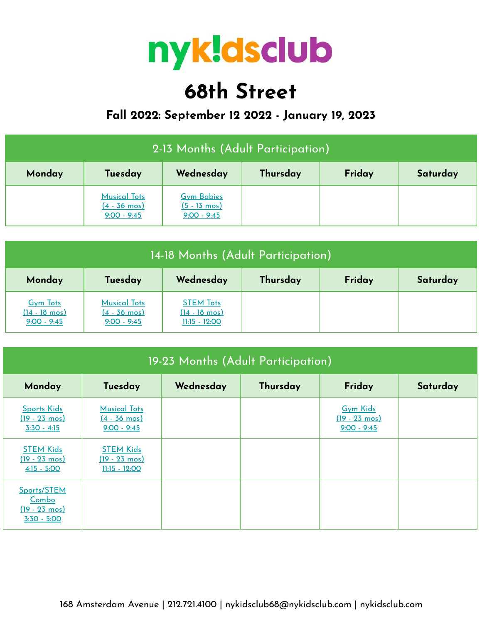

# **68th Street**

## **Fall 2022: September 12 2022 - January 19, 2023**

| 2-13 Months (Adult Participation)                                |                                                                |                                                              |  |  |  |  |
|------------------------------------------------------------------|----------------------------------------------------------------|--------------------------------------------------------------|--|--|--|--|
| Wednesday<br>Thursday<br>Friday<br>Tuesday<br>Saturday<br>Monday |                                                                |                                                              |  |  |  |  |
|                                                                  | <b>Musical Tots</b><br>$(4 - 36 \text{ mos})$<br>$9:00 - 9:45$ | <b>Gym Babies</b><br>$(5 - 13 \text{ mos})$<br>$9:00 - 9:45$ |  |  |  |  |

| 14-18 Months (Adult Participation)                          |                                                                |                                                                |          |        |          |  |
|-------------------------------------------------------------|----------------------------------------------------------------|----------------------------------------------------------------|----------|--------|----------|--|
| Monday                                                      | Tuesday                                                        | Wednesday                                                      | Thursday | Friday | Saturday |  |
| <b>Gym Tots</b><br>$(14 - 18 \text{ mos})$<br>$9:00 - 9:45$ | <b>Musical Tots</b><br>$(4 - 36 \text{ mos})$<br>$9:00 - 9:45$ | <b>STEM Tots</b><br>$(14 - 18 \text{ mos})$<br>$11:15 - 12:00$ |          |        |          |  |

| 19-23 Months (Adult Participation)                               |                                                                |           |          |                                                             |          |  |  |
|------------------------------------------------------------------|----------------------------------------------------------------|-----------|----------|-------------------------------------------------------------|----------|--|--|
| Monday                                                           | Tuesday                                                        | Wednesday | Thursday | Friday                                                      | Saturday |  |  |
| <b>Sports Kids</b><br>$(19 - 23 \text{ mos})$<br>$3:30 - 4:15$   | <b>Musical Tots</b><br><u>(4 - 36 mos)</u><br>$9:00 - 9:45$    |           |          | <b>Gym Kids</b><br>$(19 - 23 \text{ mos})$<br>$9:00 - 9:45$ |          |  |  |
| <b>STEM Kids</b><br>$(19 - 23 \text{ mos})$<br>$4:15 - 5:00$     | <b>STEM Kids</b><br>$(19 - 23 \text{ mos})$<br>$11:15 - 12:00$ |           |          |                                                             |          |  |  |
| Sports/STEM<br>Combo<br>$(19 - 23 \text{ mos})$<br>$3:30 - 5:00$ |                                                                |           |          |                                                             |          |  |  |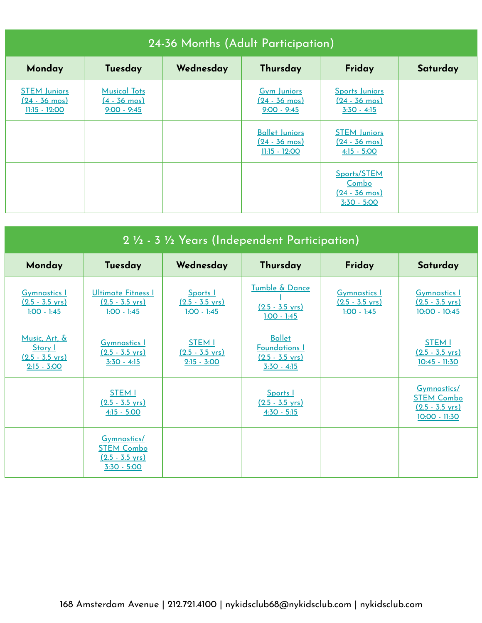| 24-36 Months (Adult Participation)                           |                                                                |           |                                                                     |                                                                  |          |  |
|--------------------------------------------------------------|----------------------------------------------------------------|-----------|---------------------------------------------------------------------|------------------------------------------------------------------|----------|--|
| Monday                                                       | Tuesday                                                        | Wednesday | Thursday                                                            | Friday                                                           | Saturday |  |
| <b>STEM Juniors</b><br><u>(24 - 36 mos)</u><br>11:15 - 12:00 | <b>Musical Tots</b><br>$(4 - 36 \text{ mos})$<br>$9:00 - 9:45$ |           | <b>Gym Juniors</b><br>$(24 - 36 \text{ mos})$<br>$9:00 - 9:45$      | Sports Juniors<br>$(24 - 36 \text{ mos})$<br>$3:30 - 4:15$       |          |  |
|                                                              |                                                                |           | <b>Ballet Juniors</b><br>$(24 - 36 \text{ mos})$<br>$11:15 - 12:00$ | <b>STEM Juniors</b><br>$(24 - 36 \text{ mos})$<br>$4:15 - 5:00$  |          |  |
|                                                              |                                                                |           |                                                                     | Sports/STEM<br>Combo<br>$(24 - 36 \text{ mos})$<br>$3:30 - 5:00$ |          |  |

| 2 1/2 - 3 1/2 Years (Independent Participation)                        |                                                                                |                                                             |                                                                                     |                                                                   |                                                                                |  |  |
|------------------------------------------------------------------------|--------------------------------------------------------------------------------|-------------------------------------------------------------|-------------------------------------------------------------------------------------|-------------------------------------------------------------------|--------------------------------------------------------------------------------|--|--|
| Monday                                                                 | Tuesday                                                                        | Wednesday                                                   | Thursday                                                                            | Friday                                                            | Saturday                                                                       |  |  |
| <b>Gymnastics 1</b><br>$(2.5 - 3.5 \text{ yrs})$<br>$1:00 - 1:45$      | <b>Ultimate Fitness I</b><br>$(2.5 - 3.5 \text{ yrs})$<br>$1:00 - 1:45$        | Sports 1<br>$(2.5 - 3.5 \text{ yrs})$<br>$1:00 - 1:45$      | Tumble & Dance<br>$(2.5 - 3.5 \text{ yrs})$<br>$1:00 - 1:45$                        | <b>Gymnastics 1</b><br>$(2.5 - 3.5 \text{ yrs})$<br>$1:00 - 1:45$ | <b>Gymnastics 1</b><br>$(2.5 - 3.5 \text{ yrs})$<br>$10:00 - 10:45$            |  |  |
| Music, Art, &<br>Story I<br>$(2.5 - 3.5 \text{ yrs})$<br>$2:15 - 3:00$ | <b>Gymnastics I</b><br>$(2.5 - 3.5 \text{ yrs})$<br>$3:30 - 4:15$              | <b>STEM I</b><br>$(2.5 - 3.5 \text{ yrs})$<br>$2:15 - 3:00$ | <b>Ballet</b><br><b>Foundations I</b><br>$(2.5 - 3.5 \text{ yrs})$<br>$3:30 - 4:15$ |                                                                   | <b>STEM I</b><br>$(2.5 - 3.5 \text{ yrs})$<br>$10:45 - 11:30$                  |  |  |
|                                                                        | <b>STEM I</b><br>$(2.5 - 3.5 \text{ vrs})$<br>$4:15 - 5:00$                    |                                                             | Sports  <br>$(2.5 - 3.5 \text{ vrs})$<br>$4:30 - 5:15$                              |                                                                   | Gymnastics/<br><b>STEM Combo</b><br>$(2.5 - 3.5 \text{ vrs})$<br>10:00 - 11:30 |  |  |
|                                                                        | Gymnastics/<br><b>STEM Combo</b><br>$(2.5 - 3.5 \text{ vrs})$<br>$3:30 - 5:00$ |                                                             |                                                                                     |                                                                   |                                                                                |  |  |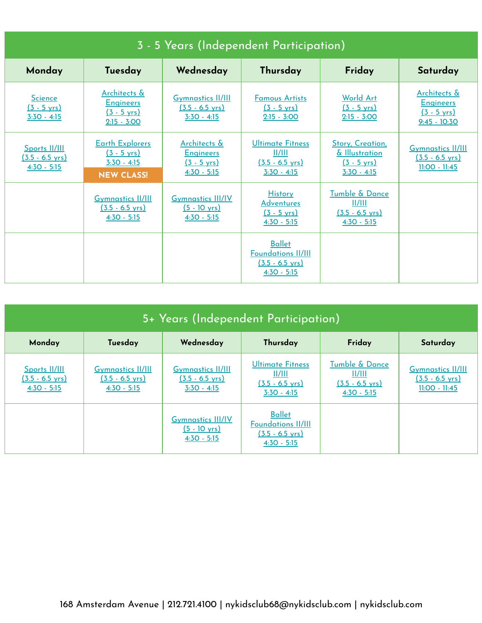| 3 - 5 Years (Independent Participation)                     |                                                                                       |                                                                                    |                                                                                          |                                                                                     |                                                                                        |  |
|-------------------------------------------------------------|---------------------------------------------------------------------------------------|------------------------------------------------------------------------------------|------------------------------------------------------------------------------------------|-------------------------------------------------------------------------------------|----------------------------------------------------------------------------------------|--|
| Monday                                                      | Tuesday                                                                               | Wednesday                                                                          | Thursday                                                                                 | Friday                                                                              | Saturday                                                                               |  |
| <b>Science</b><br>$(3 - 5 \text{ yrs})$<br>$3:30 - 4:15$    | Architects &<br><b>Engineers</b><br>$(3 - 5 \text{ yrs})$<br>$2:15 - 3:00$            | <b>Gymnastics II/III</b><br><u>(3.5 - 6.5 yrs)</u><br>$3:30 - 4:15$                | <b>Famous Artists</b><br>$(3 - 5 \text{ yrs})$<br>$2:15 - 3:00$                          | <b>World Art</b><br>$(3 - 5 \text{ yrs})$<br>$2:15 - 3:00$                          | <b>Architects &amp;</b><br><b>Engineers</b><br>$(3 - 5 \text{ yrs})$<br>$9:45 - 10:30$ |  |
| Sports II/III<br>$(3.5 - 6.5 \text{ yrs})$<br>$4:30 - 5:15$ | <b>Earth Explorers</b><br>$(3 - 5 \text{ yrs})$<br>$3:30 - 4:15$<br><b>NEW CLASS!</b> | <b>Architects &amp;</b><br><b>Engineers</b><br><u>(3 - 5 yrs)</u><br>$4:30 - 5:15$ | Ultimate Fitness<br>  /   <br>$(3.5 - 6.5 \text{ yrs})$<br>$3:30 - 4:15$                 | Story, Creation,<br>& Illustration<br>$(3 - 5 \text{ yrs})$<br>$3:30 - 4:15$        | <b>Gymnastics II/III</b><br>$(3.5 - 6.5 \text{ yrs})$<br>$11:00 - 11:45$               |  |
|                                                             | <b>Gymnastics II/III</b><br>$(3.5 - 6.5 \text{ vrs})$<br>$4:30 - 5:15$                | <b>Gymnastics III/IV</b><br>$(5 - 10 \text{ yrs})$<br>$4:30 - 5:15$                | <b>History</b><br><u>Adventures</u><br>$(3 - 5 \text{ vrs})$<br>$4:30 - 5:15$            | Tumble & Dance<br>$\frac{  /   }{  }$<br>$(3.5 - 6.5 \text{ vrs})$<br>$4:30 - 5:15$ |                                                                                        |  |
|                                                             |                                                                                       |                                                                                    | <b>Ballet</b><br><b>Foundations II/III</b><br>$(3.5 - 6.5 \text{ vrs})$<br>$4:30 - 5:15$ |                                                                                     |                                                                                        |  |

| 5+ Years (Independent Participation)                        |                                                                        |                                                                        |                                                                                          |                                                                                   |                                                                          |  |
|-------------------------------------------------------------|------------------------------------------------------------------------|------------------------------------------------------------------------|------------------------------------------------------------------------------------------|-----------------------------------------------------------------------------------|--------------------------------------------------------------------------|--|
| Monday                                                      | Tuesday                                                                | Wednesday                                                              | Thursday                                                                                 | Friday                                                                            | Saturday                                                                 |  |
| Sports II/III<br>$(3.5 - 6.5 \text{ yrs})$<br>$4:30 - 5:15$ | <b>Gymnastics II/III</b><br>$(3.5 - 6.5 \text{ yrs})$<br>$4:30 - 5:15$ | <b>Gymnastics II/III</b><br>$(3.5 - 6.5 \text{ yrs})$<br>$3:30 - 4:15$ | <b>Ultimate Fitness</b><br>II/III<br>$(3.5 - 6.5 \text{ yrs})$<br>$3:30 - 4:15$          | <b>Tumble &amp; Dance</b><br>  /   <br>$(3.5 - 6.5 \text{ yrs})$<br>$4:30 - 5:15$ | <b>Gymnastics II/III</b><br>$(3.5 - 6.5 \text{ yrs})$<br>$11:00 - 11:45$ |  |
|                                                             |                                                                        | <b>Gymnastics III/IV</b><br>$(5 - 10 \text{ yrs})$<br>$4:30 - 5:15$    | <b>Ballet</b><br><b>Foundations II/III</b><br>$(3.5 - 6.5 \text{ vrs})$<br>$4:30 - 5:15$ |                                                                                   |                                                                          |  |